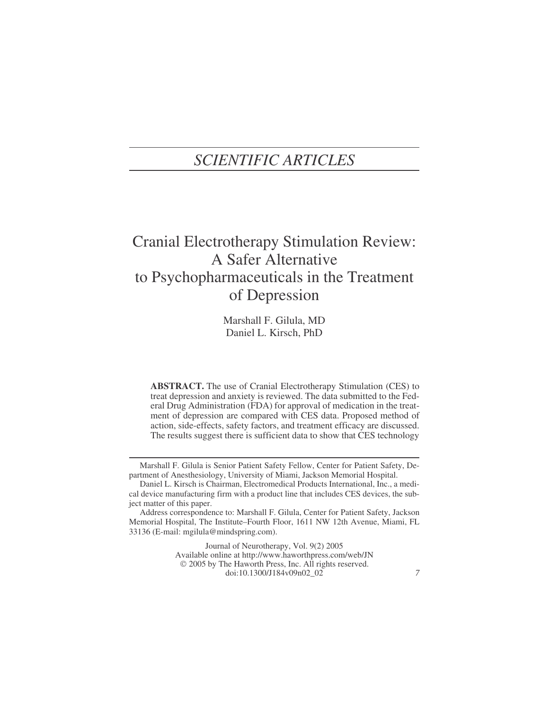# *SCIENTIFIC ARTICLES*

# Cranial Electrotherapy Stimulation Review: A Safer Alternative to Psychopharmaceuticals in the Treatment of Depression

Marshall F. Gilula, MD Daniel L. Kirsch, PhD

**ABSTRACT.** The use of Cranial Electrotherapy Stimulation (CES) to treat depression and anxiety is reviewed. The data submitted to the Federal Drug Administration (FDA) for approval of medication in the treatment of depression are compared with CES data. Proposed method of action, side-effects, safety factors, and treatment efficacy are discussed. The results suggest there is sufficient data to show that CES technology

Journal of Neurotherapy, Vol. 9(2) 2005 Available online at<http://www.haworthpress.com/web/JN> 2005 by The Haworth Press, Inc. All rights reserved. doi:10.1300/J184v09n02\_02 *7*

Marshall F. Gilula is Senior Patient Safety Fellow, Center for Patient Safety, Department of Anesthesiology, University of Miami, Jackson Memorial Hospital.

Daniel L. Kirsch is Chairman, Electromedical Products International, Inc., a medical device manufacturing firm with a product line that includes CES devices, the subject matter of this paper.

Address correspondence to: Marshall F. Gilula, Center for Patient Safety, Jackson Memorial Hospital, The Institute–Fourth Floor, 1611 NW 12th Avenue, Miami, FL 33136 (E-mail: mgilula@mindspring.com).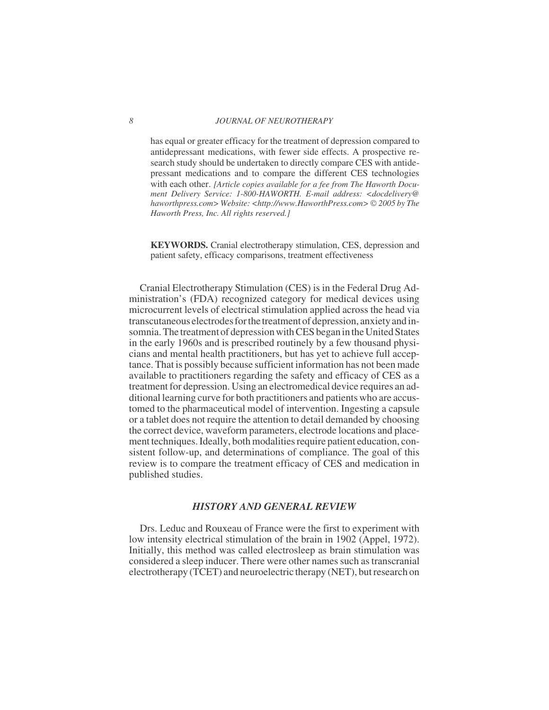has equal or greater efficacy for the treatment of depression compared to antidepressant medications, with fewer side effects. A prospective research study should be undertaken to directly compare CES with antidepressant medications and to compare the different CES technologies with each other. *[Article copies available for a fee from The Haworth Document Delivery Service: 1-800-HAWORTH. E-mail address: <docdelivery@ haworthpress.com> Website: [<http://www.HaworthPress.com>](http://www.HaworthPress.com%3E%EF%9B%992005) 2005 by The Haworth Press, Inc. All rights reserved.]*

**KEYWORDS.** Cranial electrotherapy stimulation, CES, depression and patient safety, efficacy comparisons, treatment effectiveness

Cranial Electrotherapy Stimulation (CES) is in the Federal Drug Administration's (FDA) recognized category for medical devices using microcurrent levels of electrical stimulation applied across the head via transcutaneous electrodes for the treatmentof depression, anxiety and insomnia. The treatment of depression with CES began in the United States in the early 1960s and is prescribed routinely by a few thousand physicians and mental health practitioners, but has yet to achieve full acceptance. That is possibly because sufficient information has not been made available to practitioners regarding the safety and efficacy of CES as a treatment for depression. Using an electromedical device requires an additional learning curve for both practitioners and patients who are accustomed to the pharmaceutical model of intervention. Ingesting a capsule or a tablet does not require the attention to detail demanded by choosing the correct device, waveform parameters, electrode locations and placement techniques. Ideally, both modalities require patient education, consistent follow-up, and determinations of compliance. The goal of this review is to compare the treatment efficacy of CES and medication in published studies.

### *HISTORY AND GENERAL REVIEW*

Drs. Leduc and Rouxeau of France were the first to experiment with low intensity electrical stimulation of the brain in 1902 (Appel, 1972). Initially, this method was called electrosleep as brain stimulation was considered a sleep inducer. There were other names such as transcranial electrotherapy (TCET) and neuroelectric therapy (NET), but research on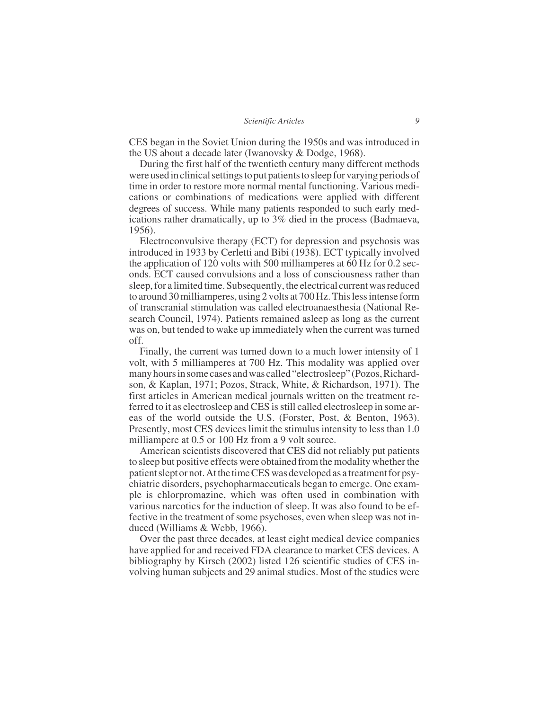CES began in the Soviet Union during the 1950s and was introduced in the US about a decade later (Iwanovsky & Dodge, 1968).

During the first half of the twentieth century many different methods were used in clinical settings to put patients to sleep for varying periods of time in order to restore more normal mental functioning. Various medications or combinations of medications were applied with different degrees of success. While many patients responded to such early medications rather dramatically, up to 3% died in the process (Badmaeva, 1956).

Electroconvulsive therapy (ECT) for depression and psychosis was introduced in 1933 by Cerletti and Bibi (1938). ECT typically involved the application of 120 volts with 500 milliamperes at 60 Hz for 0.2 seconds. ECT caused convulsions and a loss of consciousness rather than sleep, for a limited time. Subsequently, the electrical current was reduced to around 30 milliamperes, using 2 volts at 700 Hz. This less intense form of transcranial stimulation was called electroanaesthesia (National Research Council, 1974). Patients remained asleep as long as the current was on, but tended to wake up immediately when the current was turned off.

Finally, the current was turned down to a much lower intensity of 1 volt, with 5 milliamperes at 700 Hz. This modality was applied over manyhours insomecasesandwas called"electrosleep"(Pozos,Richardson, & Kaplan, 1971; Pozos, Strack, White, & Richardson, 1971). The first articles in American medical journals written on the treatment referred to it as electrosleep and CES is still called electrosleep in some areas of the world outside the U.S. (Forster, Post, & Benton, 1963). Presently, most CES devices limit the stimulus intensity to less than 1.0 milliampere at 0.5 or 100 Hz from a 9 volt source.

American scientists discovered that CES did not reliably put patients to sleep but positive effects were obtained from the modality whether the patient slept or not. At the time CES was developed as a treatment for psychiatric disorders, psychopharmaceuticals began to emerge. One example is chlorpromazine, which was often used in combination with various narcotics for the induction of sleep. It was also found to be effective in the treatment of some psychoses, even when sleep was not induced (Williams & Webb, 1966).

Over the past three decades, at least eight medical device companies have applied for and received FDA clearance to market CES devices. A bibliography by Kirsch (2002) listed 126 scientific studies of CES involving human subjects and 29 animal studies. Most of the studies were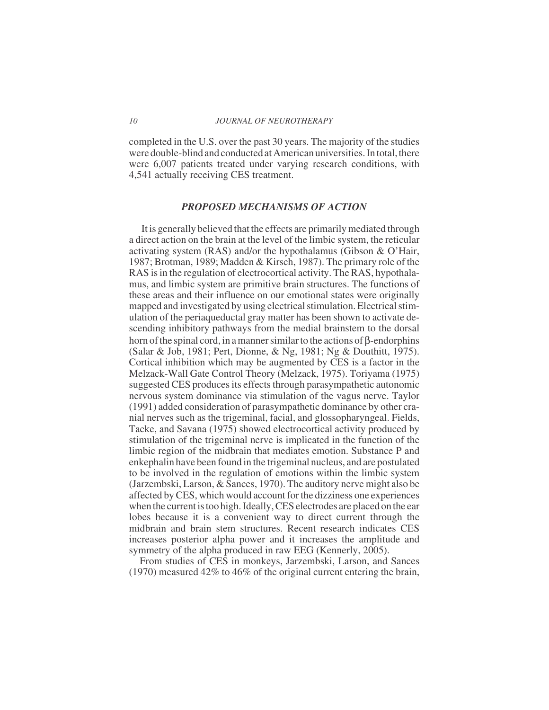completed in the U.S. over the past 30 years. The majority of the studies were double-blind and conducted at American universities. In total, there were 6,007 patients treated under varying research conditions, with 4,541 actually receiving CES treatment.

# *PROPOSED MECHANISMS OF ACTION*

It is generally believed that the effects are primarily mediated through a direct action on the brain at the level of the limbic system, the reticular activating system (RAS) and/or the hypothalamus (Gibson & O'Hair, 1987; Brotman, 1989; Madden & Kirsch, 1987). The primary role of the RAS is in the regulation of electrocortical activity. The RAS, hypothalamus, and limbic system are primitive brain structures. The functions of these areas and their influence on our emotional states were originally mapped and investigated by using electrical stimulation. Electrical stimulation of the periaqueductal gray matter has been shown to activate descending inhibitory pathways from the medial brainstem to the dorsal horn of the spinal cord, in a manner similar to the actions of β-endorphins (Salar & Job, 1981; Pert, Dionne, & Ng, 1981; Ng & Douthitt, 1975). Cortical inhibition which may be augmented by CES is a factor in the Melzack-Wall Gate Control Theory (Melzack, 1975). Toriyama (1975) suggested CES produces its effects through parasympathetic autonomic nervous system dominance via stimulation of the vagus nerve. Taylor (1991) added consideration of parasympathetic dominance by other cranial nerves such as the trigeminal, facial, and glossopharyngeal. Fields, Tacke, and Savana (1975) showed electrocortical activity produced by stimulation of the trigeminal nerve is implicated in the function of the limbic region of the midbrain that mediates emotion. Substance P and enkephalin have been found in the trigeminal nucleus, and are postulated to be involved in the regulation of emotions within the limbic system (Jarzembski, Larson, & Sances, 1970). The auditory nerve might also be affected by CES, which would account for the dizziness one experiences when the current is too high. Ideally, CES electrodes are placed on the ear lobes because it is a convenient way to direct current through the midbrain and brain stem structures. Recent research indicates CES increases posterior alpha power and it increases the amplitude and symmetry of the alpha produced in raw EEG (Kennerly, 2005).

From studies of CES in monkeys, Jarzembski, Larson, and Sances (1970) measured 42% to 46% of the original current entering the brain,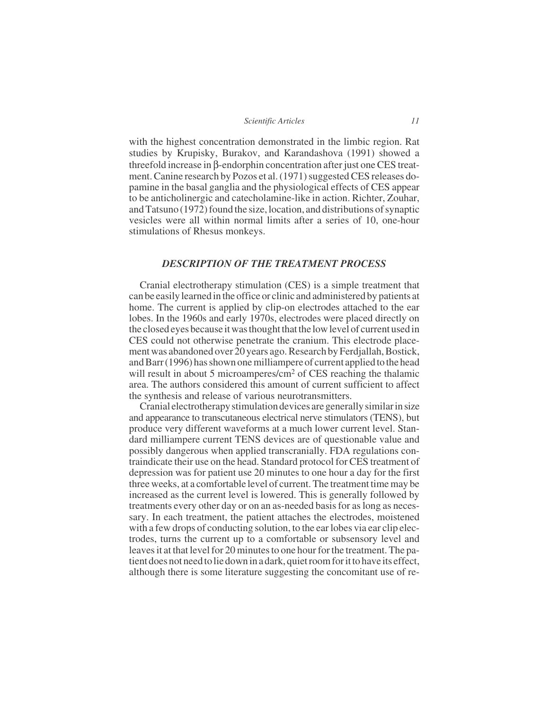with the highest concentration demonstrated in the limbic region. Rat studies by Krupisky, Burakov, and Karandashova (1991) showed a threefold increase in β-endorphin concentration after just one CES treatment. Canine research by Pozos et al. (1971) suggested CES releases dopamine in the basal ganglia and the physiological effects of CES appear to be anticholinergic and catecholamine-like in action. Richter, Zouhar, and Tatsuno (1972) found the size, location, and distributions of synaptic vesicles were all within normal limits after a series of 10, one-hour stimulations of Rhesus monkeys.

# *DESCRIPTION OF THE TREATMENT PROCESS*

Cranial electrotherapy stimulation (CES) is a simple treatment that can be easily learned in the office or clinic and administered by patients at home. The current is applied by clip-on electrodes attached to the ear lobes. In the 1960s and early 1970s, electrodes were placed directly on the closed eyes because it was thought that the low level of current used in CES could not otherwise penetrate the cranium. This electrode placement was abandoned over 20 years ago. Research by Ferdjallah, Bostick, and Barr (1996) has shown one milliampere of current applied to the head will result in about 5 microamperes/cm<sup>2</sup> of CES reaching the thalamic area. The authors considered this amount of current sufficient to affect the synthesis and release of various neurotransmitters.

Cranialelectrotherapystimulationdevices are generallysimilarin size and appearance to transcutaneous electrical nerve stimulators (TENS), but produce very different waveforms at a much lower current level. Standard milliampere current TENS devices are of questionable value and possibly dangerous when applied transcranially. FDA regulations contraindicate their use on the head. Standard protocol for CES treatment of depression was for patient use 20 minutes to one hour a day for the first three weeks, at a comfortable level of current. The treatment time may be increased as the current level is lowered. This is generally followed by treatments every other day or on an as-needed basis for as long as necessary. In each treatment, the patient attaches the electrodes, moistened with a few drops of conducting solution, to the ear lobes via ear clip electrodes, turns the current up to a comfortable or subsensory level and leaves it at that level for 20 minutes to one hour for the treatment. The patientdoes not need to lie down in a dark, quiet room for it to have its effect, although there is some literature suggesting the concomitant use of re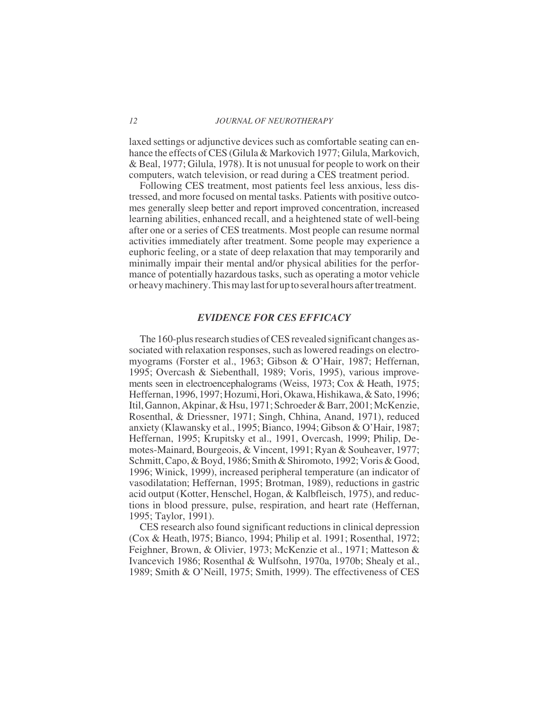laxed settings or adjunctive devices such as comfortable seating can enhance the effects of CES (Gilula & Markovich 1977; Gilula, Markovich, & Beal, 1977; Gilula, 1978). It is not unusual for people to work on their computers, watch television, or read during a CES treatment period.

Following CES treatment, most patients feel less anxious, less distressed, and more focused on mental tasks. Patients with positive outcomes generally sleep better and report improved concentration, increased learning abilities, enhanced recall, and a heightened state of well-being after one or a series of CES treatments. Most people can resume normal activities immediately after treatment. Some people may experience a euphoric feeling, or a state of deep relaxation that may temporarily and minimally impair their mental and/or physical abilities for the performance of potentially hazardous tasks, such as operating a motor vehicle orheavymachinery.Thismaylastforuptoseveralhoursaftertreatment.

## *EVIDENCE FOR CES EFFICACY*

The 160-plus research studies of CES revealed significant changes associated with relaxation responses, such as lowered readings on electromyograms (Forster et al., 1963; Gibson & O'Hair, 1987; Heffernan, 1995; Overcash & Siebenthall, 1989; Voris, 1995), various improvements seen in electroencephalograms (Weiss, 1973; Cox & Heath, 1975; Heffernan,1996,1997;Hozumi,Hori,Okawa,Hishikawa,&Sato,1996; Itil, Gannon, Akpinar, & Hsu, 1971; Schroeder & Barr, 2001; McKenzie, Rosenthal, & Driessner, 1971; Singh, Chhina, Anand, 1971), reduced anxiety (Klawansky et al., 1995; Bianco, 1994; Gibson & O'Hair, 1987; Heffernan, 1995; Krupitsky et al., 1991, Overcash, 1999; Philip, Demotes-Mainard, Bourgeois, & Vincent, 1991; Ryan & Souheaver, 1977; Schmitt, Capo, & Boyd, 1986; Smith & Shiromoto, 1992; Voris & Good, 1996; Winick, 1999), increased peripheral temperature (an indicator of vasodilatation; Heffernan, 1995; Brotman, 1989), reductions in gastric acid output (Kotter, Henschel, Hogan, & Kalbfleisch, 1975), and reductions in blood pressure, pulse, respiration, and heart rate (Heffernan, 1995; Taylor, 1991).

CES research also found significant reductions in clinical depression (Cox & Heath, l975; Bianco, 1994; Philip et al. 1991; Rosenthal, 1972; Feighner, Brown, & Olivier, 1973; McKenzie et al., 1971; Matteson & Ivancevich 1986; Rosenthal & Wulfsohn, 1970a, 1970b; Shealy et al., 1989; Smith & O'Neill, 1975; Smith, 1999). The effectiveness of CES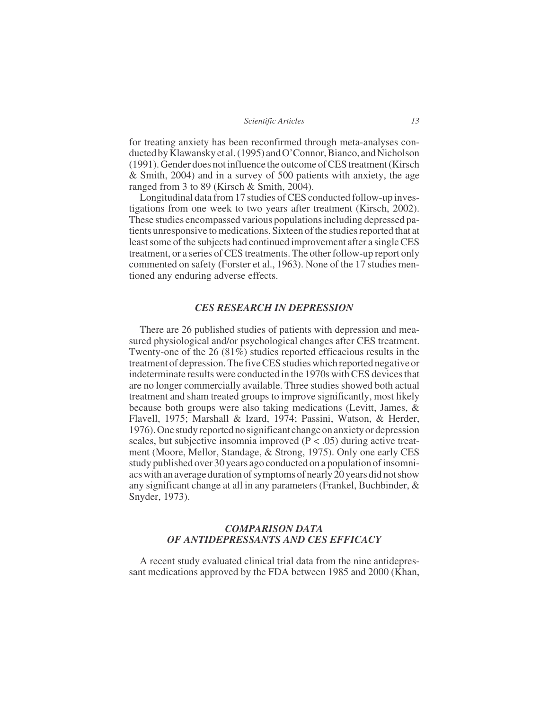| <i>Scientific Articles</i> |  |
|----------------------------|--|
|----------------------------|--|

for treating anxiety has been reconfirmed through meta-analyses conductedby Klawansky etal.(1995) and O'Connor, Bianco, and Nicholson (1991). Gender does not influence the outcome of CES treatment (Kirsch & Smith, 2004) and in a survey of 500 patients with anxiety, the age ranged from 3 to 89 (Kirsch & Smith, 2004).

Longitudinal data from 17 studies of CES conducted follow-up investigations from one week to two years after treatment (Kirsch, 2002). These studies encompassed various populations including depressed patients unresponsive to medications. Sixteen of the studies reported that at least some of the subjects had continued improvement after a single CES treatment, or a series of CES treatments. The other follow-up report only commented on safety (Forster et al., 1963). None of the 17 studies mentioned any enduring adverse effects.

## *CES RESEARCH IN DEPRESSION*

There are 26 published studies of patients with depression and measured physiological and/or psychological changes after CES treatment. Twenty-one of the 26 (81%) studies reported efficacious results in the treatmentof depression. The five CES studies which reported negative or indeterminate results were conducted in the 1970s with CES devices that are no longer commercially available. Three studies showed both actual treatment and sham treated groups to improve significantly, most likely because both groups were also taking medications (Levitt, James, & Flavell, 1975; Marshall & Izard, 1974; Passini, Watson, & Herder, 1976). One study reported no significantchange on anxiety or depression scales, but subjective insomnia improved  $(P < .05)$  during active treatment (Moore, Mellor, Standage, & Strong, 1975). Only one early CES study published over 30 years ago conducted on a population of insomniacs with an average duration of symptoms of nearly 20 years did not show any significant change at all in any parameters (Frankel, Buchbinder, & Snyder, 1973).

# *COMPARISON DATA OF ANTIDEPRESSANTS AND CES EFFICACY*

A recent study evaluated clinical trial data from the nine antidepressant medications approved by the FDA between 1985 and 2000 (Khan,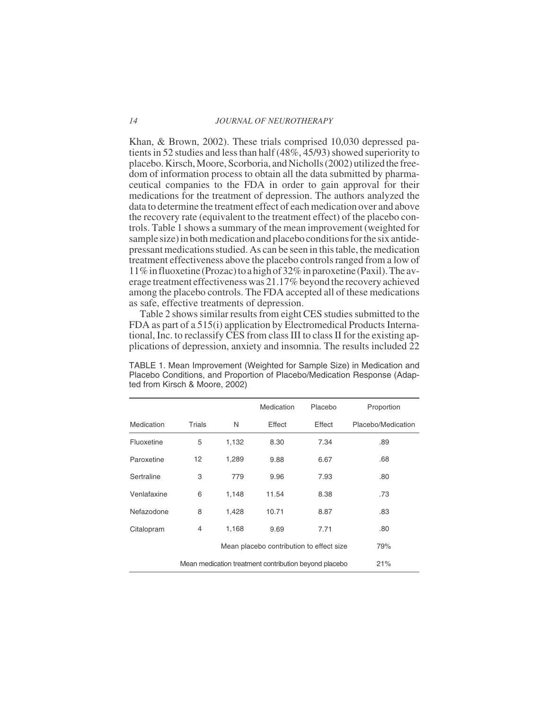Khan, & Brown, 2002). These trials comprised 10,030 depressed patients in 52 studies and less than half (48%, 45/93) showed superiority to placebo. Kirsch, Moore, Scorboria, and Nicholls (2002) utilized the freedom of information process to obtain all the data submitted by pharmaceutical companies to the FDA in order to gain approval for their medications for the treatment of depression. The authors analyzed the data to determine the treatment effect of each medication over and above the recovery rate (equivalent to the treatment effect) of the placebo controls. Table 1 shows a summary of the mean improvement (weighted for sample size) in both medication and placebo conditions for the six antidepressant medications studied. As can be seen in this table, the medication treatment effectiveness above the placebo controls ranged from a low of 11% in fluoxetine(Prozac) to a high of 32% in paroxetine(Paxil). The average treatment effectiveness was 21.17% beyond the recovery achieved among the placebo controls. The FDA accepted all of these medications as safe, effective treatments of depression.

Table 2 shows similar results from eight CES studies submitted to the FDA as part of a 515(i) application by Electromedical Products International, Inc. to reclassify CES from class III to class II for the existing applications of depression, anxiety and insomnia. The results included 22

|             |                                                       |                                                 | Medication | Placebo | Proportion         |  |
|-------------|-------------------------------------------------------|-------------------------------------------------|------------|---------|--------------------|--|
| Medication  | Trials                                                | N                                               | Effect     | Effect  | Placebo/Medication |  |
| Fluoxetine  | 5                                                     | 1,132                                           | 8.30       | 7.34    | .89                |  |
| Paroxetine  | 12                                                    | 1,289                                           | 9.88       | 6.67    | .68                |  |
| Sertraline  | 3                                                     | 779                                             | 9.96       | 7.93    | .80                |  |
| Venlafaxine | 6                                                     | 1,148                                           | 11.54      | 8.38    | .73                |  |
| Nefazodone  | 8                                                     | 1,428                                           | 10.71      | 8.87    | .83                |  |
| Citalopram  | $\overline{4}$                                        | 1,168                                           | 9.69       | 7.71    | .80                |  |
|             |                                                       | Mean placebo contribution to effect size<br>79% |            |         |                    |  |
|             | Mean medication treatment contribution beyond placebo | 21%                                             |            |         |                    |  |

TABLE 1. Mean Improvement (Weighted for Sample Size) in Medication and Placebo Conditions, and Proportion of Placebo/Medication Response (Adapted from Kirsch & Moore, 2002)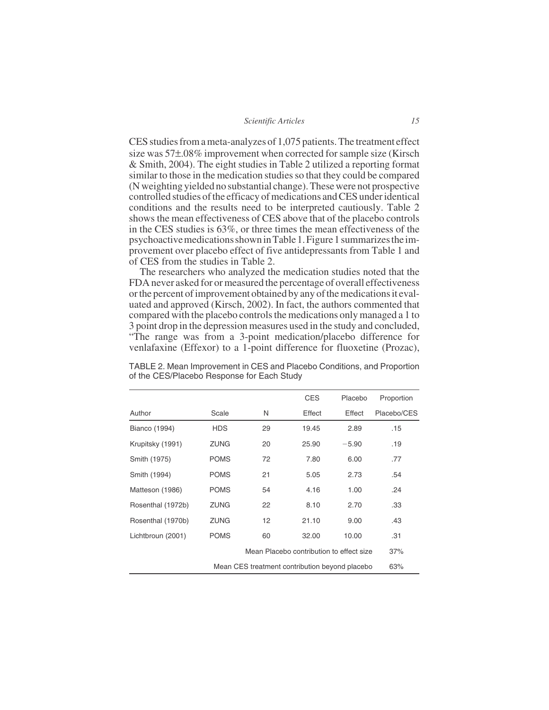CES studies from a meta-analyzes of 1,075 patients. The treatment effect size was 57±.08% improvement when corrected for sample size (Kirsch & Smith, 2004). The eight studies in Table 2 utilized a reporting format similar to those in the medication studies so that they could be compared (N weighting yielded no substantial change). These were not prospective controlled studies of the efficacy of medications and CES under identical conditions and the results need to be interpreted cautiously. Table 2 shows the mean effectiveness of CES above that of the placebo controls in the CES studies is 63%, or three times the mean effectiveness of the psychoactive medications shown in Table 1. Figure 1 summarizes the improvement over placebo effect of five antidepressants from Table 1 and of CES from the studies in Table 2.

The researchers who analyzed the medication studies noted that the FDA never asked for or measured the percentage of overall effectiveness or the percent of improvement obtained by any of the medications it evaluated and approved (Kirsch, 2002). In fact, the authors commented that compared with the placebo controls the medications only managed a 1 to 3 point drop in the depression measures used in the study and concluded, "The range was from a 3-point medication/placebo difference for venlafaxine (Effexor) to a 1-point difference for fluoxetine (Prozac),

|                                                |             |    | <b>CES</b> | Placebo | Proportion  |  |
|------------------------------------------------|-------------|----|------------|---------|-------------|--|
| Author                                         | Scale       | N  | Effect     | Effect  | Placebo/CES |  |
| <b>Bianco (1994)</b>                           | <b>HDS</b>  | 29 | 19.45      | 2.89    | .15         |  |
| Krupitsky (1991)                               | <b>ZUNG</b> | 20 | 25.90      | $-5.90$ | .19         |  |
| Smith (1975)                                   | <b>POMS</b> | 72 | 7.80       | 6.00    | .77         |  |
| Smith (1994)                                   | <b>POMS</b> | 21 | 5.05       | 2.73    | .54         |  |
| Matteson (1986)                                | <b>POMS</b> | 54 | 4.16       | 1.00    | .24         |  |
| Rosenthal (1972b)                              | <b>ZUNG</b> | 22 | 8.10       | 2.70    | .33         |  |
| Rosenthal (1970b)                              | <b>ZUNG</b> | 12 | 21.10      | 9.00    | .43         |  |
| Lichtbroun (2001)                              | <b>POMS</b> | 60 | 32.00      | 10.00   | .31         |  |
| Mean Placebo contribution to effect size       |             |    |            |         |             |  |
| Mean CES treatment contribution beyond placebo |             |    |            |         |             |  |

TABLE 2. Mean Improvement in CES and Placebo Conditions, and Proportion of the CES/Placebo Response for Each Study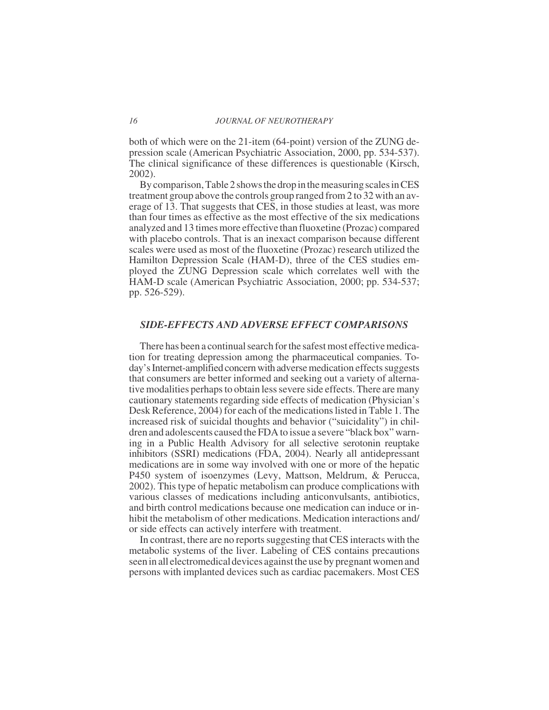both of which were on the 21-item (64-point) version of the ZUNG depression scale (American Psychiatric Association, 2000, pp. 534-537). The clinical significance of these differences is questionable (Kirsch, 2002).

By comparison, Table2 shows the drop in the measuring scales in CES treatment group above the controls group ranged from 2 to 32 with an average of 13. That suggests that CES, in those studies at least, was more than four times as effective as the most effective of the six medications analyzed and 13 times more effective than fluoxetine (Prozac) compared with placebo controls. That is an inexact comparison because different scales were used as most of the fluoxetine (Prozac) research utilized the Hamilton Depression Scale (HAM-D), three of the CES studies employed the ZUNG Depression scale which correlates well with the HAM-D scale (American Psychiatric Association, 2000; pp. 534-537; pp. 526-529).

# *SIDE-EFFECTS AND ADVERSE EFFECT COMPARISONS*

There has been a continual search for the safest most effective medication for treating depression among the pharmaceutical companies. Today's Internet-amplified concern with adverse medication effects suggests that consumers are better informed and seeking out a variety of alternative modalities perhaps to obtain less severe side effects. There are many cautionary statements regarding side effects of medication (Physician's Desk Reference, 2004) for each of the medications listed in Table 1. The increased risk of suicidal thoughts and behavior ("suicidality") in children and adolescents caused the FDA to issue a severe "black box" warning in a Public Health Advisory for all selective serotonin reuptake inhibitors (SSRI) medications (FDA, 2004). Nearly all antidepressant medications are in some way involved with one or more of the hepatic P450 system of isoenzymes (Levy, Mattson, Meldrum, & Perucca, 2002). This type of hepatic metabolism can produce complications with various classes of medications including anticonvulsants, antibiotics, and birth control medications because one medication can induce or inhibit the metabolism of other medications. Medication interactions and/ or side effects can actively interfere with treatment.

In contrast, there are no reports suggesting that CES interacts with the metabolic systems of the liver. Labeling of CES contains precautions seen in all electromedicaldevices against the use by pregnant women and persons with implanted devices such as cardiac pacemakers. Most CES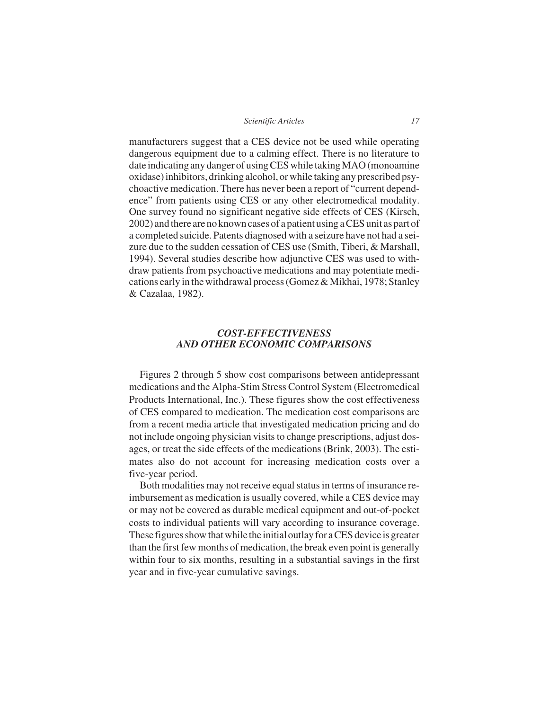manufacturers suggest that a CES device not be used while operating dangerous equipment due to a calming effect. There is no literature to date indicating any danger of using CES while taking MAO (monoamine oxidase) inhibitors, drinking alcohol, or while taking any prescribed psychoactive medication. There has never been a report of "current dependence" from patients using CES or any other electromedical modality. One survey found no significant negative side effects of CES (Kirsch, 2002) and there are no known cases of a patient using a CES unit as part of a completed suicide. Patents diagnosed with a seizure have not had a seizure due to the sudden cessation of CES use (Smith, Tiberi, & Marshall, 1994). Several studies describe how adjunctive CES was used to withdraw patients from psychoactive medications and may potentiate medications early in the withdrawal process (Gomez & Mikhai, 1978; Stanley & Cazalaa, 1982).

# *COST-EFFECTIVENESS AND OTHER ECONOMIC COMPARISONS*

Figures 2 through 5 show cost comparisons between antidepressant medications and the Alpha-Stim Stress Control System (Electromedical Products International, Inc.). These figures show the cost effectiveness of CES compared to medication. The medication cost comparisons are from a recent media article that investigated medication pricing and do not include ongoing physician visits to change prescriptions, adjust dosages, or treat the side effects of the medications (Brink, 2003). The estimates also do not account for increasing medication costs over a five-year period.

Both modalities may not receive equal status in terms of insurance reimbursement as medication is usually covered, while a CES device may or may not be covered as durable medical equipment and out-of-pocket costs to individual patients will vary according to insurance coverage. These figures show that while the initial outlay for a CES device is greater than the first few months of medication, the break even point is generally within four to six months, resulting in a substantial savings in the first year and in five-year cumulative savings.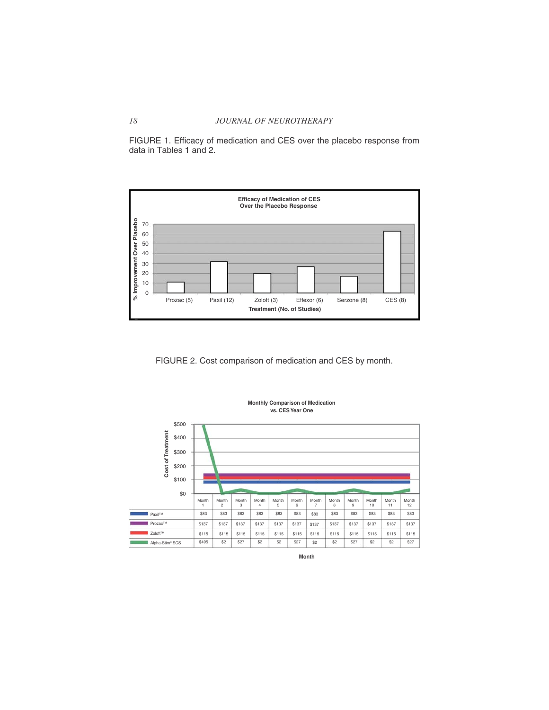FIGURE 1. Efficacy of medication and CES over the placebo response from data in Tables 1 and 2.



FIGURE 2. Cost comparison of medication and CES by month.



**Month**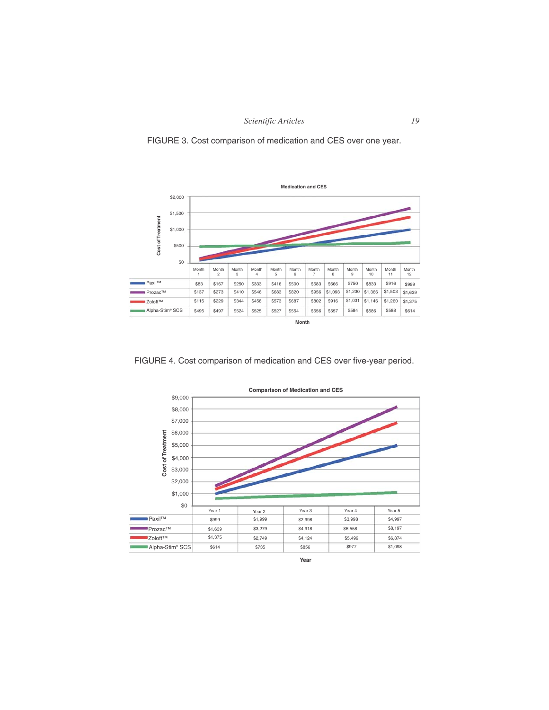FIGURE 3. Cost comparison of medication and CES over one year.



FIGURE 4. Cost comparison of medication and CES over five-year period.

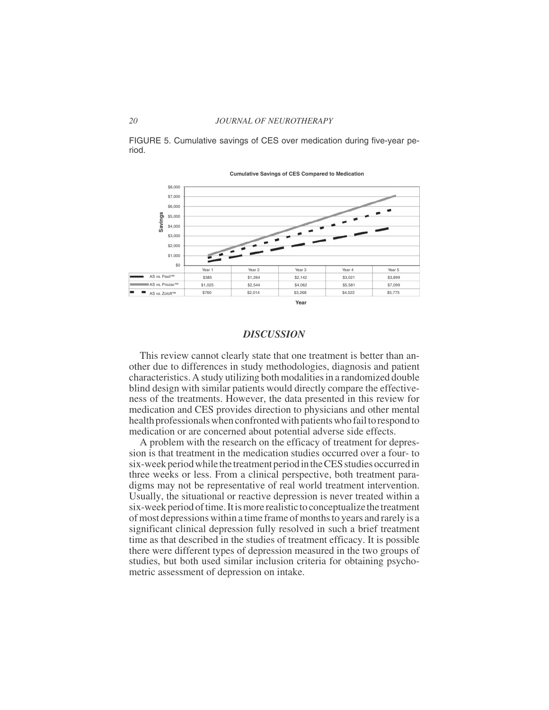FIGURE 5. Cumulative savings of CES over medication during five-year period.

**Cumulative Savings of CES Compared to Medication**



### *DISCUSSION*

This review cannot clearly state that one treatment is better than another due to differences in study methodologies, diagnosis and patient characteristics. A study utilizing both modalities in a randomized double blind design with similar patients would directly compare the effectiveness of the treatments. However, the data presented in this review for medication and CES provides direction to physicians and other mental health professionals when confronted with patients who fail to respond to medication or are concerned about potential adverse side effects.

A problem with the research on the efficacy of treatment for depression is that treatment in the medication studies occurred over a four- to six-week period while the treatment period in the CES studies occurred in three weeks or less. From a clinical perspective, both treatment paradigms may not be representative of real world treatment intervention. Usually, the situational or reactive depression is never treated within a six-week period of time. It is more realistic to conceptualize the treatment of most depressions within a time frame of months to years and rarely is a significant clinical depression fully resolved in such a brief treatment time as that described in the studies of treatment efficacy. It is possible there were different types of depression measured in the two groups of studies, but both used similar inclusion criteria for obtaining psychometric assessment of depression on intake.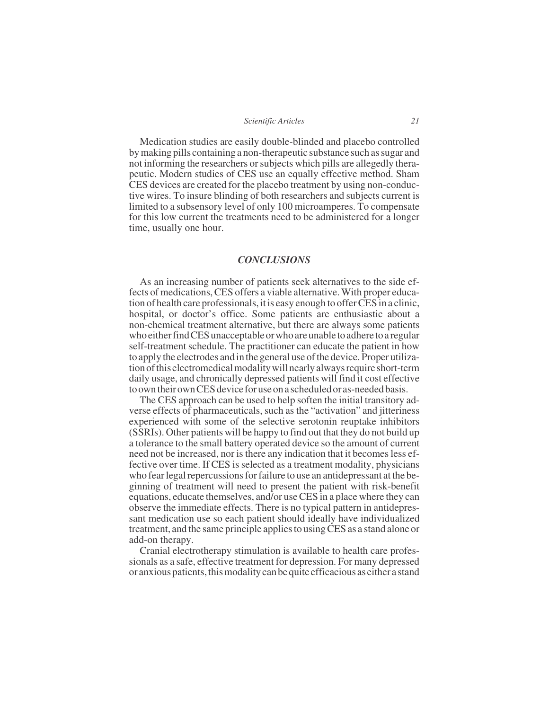Medication studies are easily double-blinded and placebo controlled by making pills containing a non-therapeutic substance such as sugar and not informing the researchers or subjects which pills are allegedly therapeutic. Modern studies of CES use an equally effective method. Sham CES devices are created for the placebo treatment by using non-conductive wires. To insure blinding of both researchers and subjects current is limited to a subsensory level of only 100 microamperes. To compensate for this low current the treatments need to be administered for a longer time, usually one hour.

## *CONCLUSIONS*

As an increasing number of patients seek alternatives to the side effects of medications, CES offers a viable alternative. With proper education of health care professionals, it is easy enough to offer CES in a clinic, hospital, or doctor's office. Some patients are enthusiastic about a non-chemical treatment alternative, but there are always some patients who either find CES unacceptable or who are unable to adhere to a regular self-treatment schedule. The practitioner can educate the patient in how to apply the electrodes and in the general use of the device. Proper utilizationofthiselectromedicalmodalitywillnearlyalwaysrequireshort-term daily usage, and chronically depressed patients will find it cost effective to own their own CES device for use on a scheduled or as-needed basis.

The CES approach can be used to help soften the initial transitory adverse effects of pharmaceuticals, such as the "activation" and jitteriness experienced with some of the selective serotonin reuptake inhibitors (SSRIs). Other patients will be happy to find out that they do not build up a tolerance to the small battery operated device so the amount of current need not be increased, nor is there any indication that it becomes less effective over time. If CES is selected as a treatment modality, physicians who fear legal repercussions for failure to use an antidepressant at the beginning of treatment will need to present the patient with risk-benefit equations, educate themselves, and/or use CES in a place where they can observe the immediate effects. There is no typical pattern in antidepressant medication use so each patient should ideally have individualized treatment, and the same principle applies to using CES as a stand alone or add-on therapy.

Cranial electrotherapy stimulation is available to health care professionals as a safe, effective treatment for depression. For many depressed or anxious patients, this modality can be quite efficacious as either a stand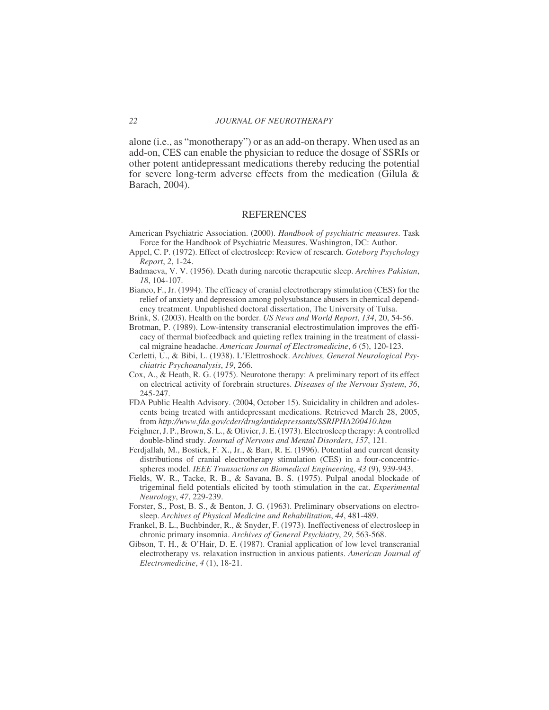alone (i.e., as "monotherapy") or as an add-on therapy. When used as an add-on, CES can enable the physician to reduce the dosage of SSRIs or other potent antidepressant medications thereby reducing the potential for severe long-term adverse effects from the medication (Gilula & Barach, 2004).

## REFERENCES

- American Psychiatric Association. (2000). *Handbook of psychiatric measures*. Task Force for the Handbook of Psychiatric Measures. Washington, DC: Author.
- Appel, C. P. (1972). Effect of electrosleep: Review of research. *Goteborg Psychology Report*, *2*, 1-24.
- Badmaeva, V. V. (1956). Death during narcotic therapeutic sleep. *Archives Pakistan*, *18*, 104-107.
- Bianco, F., Jr. (1994). The efficacy of cranial electrotherapy stimulation (CES) for the relief of anxiety and depression among polysubstance abusers in chemical dependency treatment. Unpublished doctoral dissertation, The University of Tulsa.
- Brink, S. (2003). Health on the border. *US News and World Report*, *134*, 20, 54-56.
- Brotman, P. (1989). Low-intensity transcranial electrostimulation improves the efficacy of thermal biofeedback and quieting reflex training in the treatment of classical migraine headache. *American Journal of Electromedicine*, *6* (5), 120-123.
- Cerletti, U., & Bibi, L. (1938). L'Elettroshock. *Archives, General Neurological Psychiatric Psychoanalysis*, *19*, 266.
- Cox, A., & Heath, R. G. (1975). Neurotone therapy: A preliminary report of its effect on electrical activity of forebrain structures. *Diseases of the Nervous System*, *36*, 245-247.
- FDA Public Health Advisory. (2004, October 15). Suicidality in children and adolescents being treated with antidepressant medications. Retrieved March 28, 2005, from *<http://www.fda.gov/cder/drug/antidepressants/SSRIPHA200410.htm>*
- Feighner, J. P., Brown, S. L., & Olivier, J. E. (1973). Electrosleep therapy: A controlled double-blind study. *Journal of Nervous and Mental Disorders*, *157*, 121.
- Ferdjallah, M., Bostick, F. X., Jr., & Barr, R. E. (1996). Potential and current density distributions of cranial electrotherapy stimulation (CES) in a four-concentricspheres model. *IEEE Transactions on Biomedical Engineering*, *43* (9), 939-943.
- Fields, W. R., Tacke, R. B., & Savana, B. S. (1975). Pulpal anodal blockade of trigeminal field potentials elicited by tooth stimulation in the cat. *Experimental Neurology*, *47*, 229-239.
- Forster, S., Post, B. S., & Benton, J. G. (1963). Preliminary observations on electrosleep. *Archives of Physical Medicine and Rehabilitation*, *44*, 481-489.
- Frankel, B. L., Buchbinder, R., & Snyder, F. (1973). Ineffectiveness of electrosleep in chronic primary insomnia. *Archives of General Psychiatry*, *29*, 563-568.
- Gibson, T. H., & O'Hair, D. E. (1987). Cranial application of low level transcranial electrotherapy vs. relaxation instruction in anxious patients. *American Journal of Electromedicine*, *4* (1), 18-21.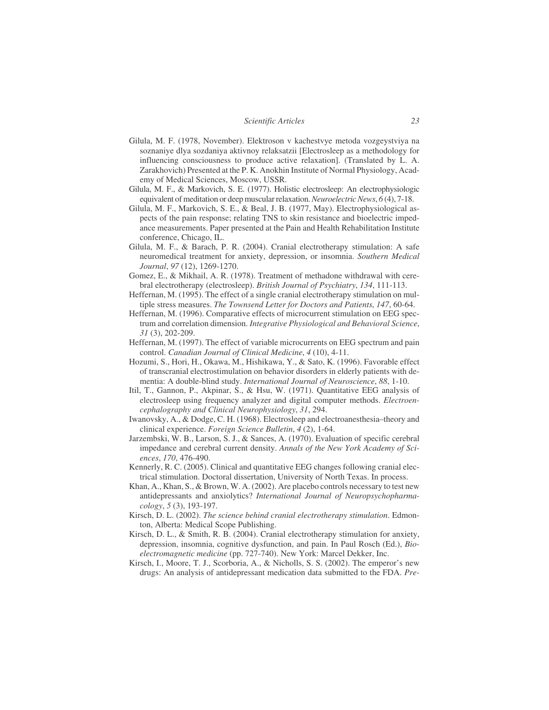- Gilula, M. F. (1978, November). Elektroson v kachestvye metoda vozgeystviya na soznaniye dlya sozdaniya aktivnoy relaksatzii [Electrosleep as a methodology for influencing consciousness to produce active relaxation]. (Translated by L. A. Zarakhovich) Presented at the P. K. Anokhin Institute of Normal Physiology, Academy of Medical Sciences, Moscow, USSR.
- Gilula, M. F., & Markovich, S. E. (1977). Holistic electrosleep: An electrophysiologic equivalent of meditation or deep muscular relaxation.*Neuroelectric News*, *6* (4), 7-18.
- Gilula, M. F., Markovich, S. E., & Beal, J. B. (1977, May). Electrophysiological aspects of the pain response; relating TNS to skin resistance and bioelectric impedance measurements. Paper presented at the Pain and Health Rehabilitation Institute conference, Chicago, IL.
- Gilula, M. F., & Barach, P. R. (2004). Cranial electrotherapy stimulation: A safe neuromedical treatment for anxiety, depression, or insomnia. *Southern Medical Journal*, *97* (12), 1269-1270.
- Gomez, E., & Mikhail, A. R. (1978). Treatment of methadone withdrawal with cerebral electrotherapy (electrosleep). *British Journal of Psychiatry*, *134*, 111-113.
- Heffernan, M. (1995). The effect of a single cranial electrotherapy stimulation on multiple stress measures. *The Townsend Letter for Doctors and Patients*, *147*, 60-64.
- Heffernan, M. (1996). Comparative effects of microcurrent stimulation on EEG spectrum and correlation dimension. *Integrative Physiological and Behavioral Science*, *31* (3), 202-209.
- Heffernan, M. (1997). The effect of variable microcurrents on EEG spectrum and pain control. *Canadian Journal of Clinical Medicine*, *4* (10), 4-11.
- Hozumi, S., Hori, H., Okawa, M., Hishikawa, Y., & Sato, K. (1996). Favorable effect of transcranial electrostimulation on behavior disorders in elderly patients with dementia: A double-blind study. *International Journal of Neuroscience*, *88*, 1-10.
- Itil, T., Gannon, P., Akpinar, S., & Hsu, W. (1971). Quantitative EEG analysis of electrosleep using frequency analyzer and digital computer methods. *Electroencephalography and Clinical Neurophysiology*, *31*, 294.
- Iwanovsky, A., & Dodge, C. H. (1968). Electrosleep and electroanesthesia–theory and clinical experience. *Foreign Science Bulletin*, *4* (2), 1-64.
- Jarzembski, W. B., Larson, S. J., & Sances, A. (1970). Evaluation of specific cerebral impedance and cerebral current density. *Annals of the New York Academy of Sciences*, *170*, 476-490.
- Kennerly, R. C. (2005). Clinical and quantitative EEG changes following cranial electrical stimulation. Doctoral dissertation, University of North Texas. In process.
- Khan, A., Khan, S., & Brown, W. A. (2002). Are placebo controls necessary to test new antidepressants and anxiolytics? *International Journal of Neuropsychopharmacology*, *5* (3), 193-197.
- Kirsch, D. L. (2002). *The science behind cranial electrotherapy stimulation*. Edmonton, Alberta: Medical Scope Publishing.
- Kirsch, D. L., & Smith, R. B. (2004). Cranial electrotherapy stimulation for anxiety, depression, insomnia, cognitive dysfunction, and pain. In Paul Rosch (Ed.), *Bioelectromagnetic medicine* (pp. 727-740). New York: Marcel Dekker, Inc.
- Kirsch, I., Moore, T. J., Scorboria, A., & Nicholls, S. S. (2002). The emperor's new drugs: An analysis of antidepressant medication data submitted to the FDA. *Pre-*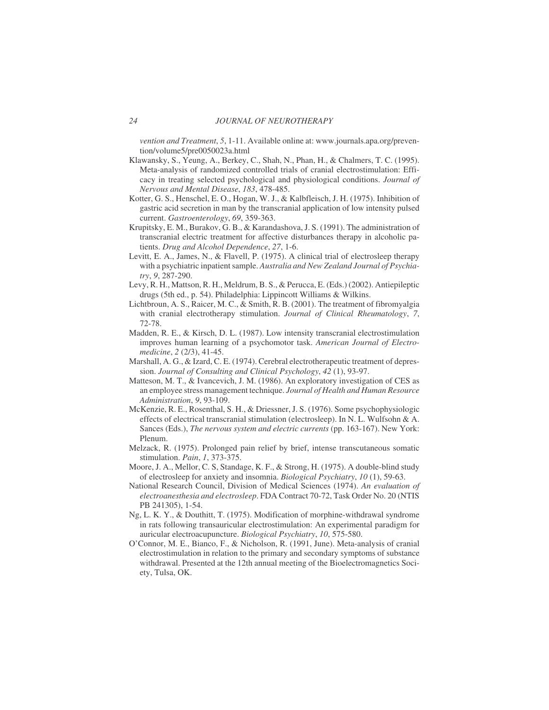*vention and Treatment*, *5*, 1-11. Available online at: www.journals.apa.org/prevention/volume5/pre0050023a.html

- Klawansky, S., Yeung, A., Berkey, C., Shah, N., Phan, H., & Chalmers, T. C. (1995). Meta-analysis of randomized controlled trials of cranial electrostimulation: Efficacy in treating selected psychological and physiological conditions. *Journal of Nervous and Mental Disease*, *183*, 478-485.
- Kotter, G. S., Henschel, E. O., Hogan, W. J., & Kalbfleisch, J. H. (1975). Inhibition of gastric acid secretion in man by the transcranial application of low intensity pulsed current. *Gastroenterology*, *69*, 359-363.
- Krupitsky, E. M., Burakov, G. B., & Karandashova, J. S. (1991). The administration of transcranial electric treatment for affective disturbances therapy in alcoholic patients. *Drug and Alcohol Dependence*, *27*, 1-6.
- Levitt, E. A., James, N., & Flavell, P. (1975). A clinical trial of electrosleep therapy with a psychiatric inpatient sample. *Australia and New Zealand Journal of Psychiatry*, *9*, 287-290.
- Levy, R. H., Mattson, R. H., Meldrum, B. S., & Perucca, E. (Eds.) (2002). Antiepileptic drugs (5th ed., p. 54). Philadelphia: Lippincott Williams & Wilkins.
- Lichtbroun, A. S., Raicer, M. C., & Smith, R. B. (2001). The treatment of fibromyalgia with cranial electrotherapy stimulation. *Journal of Clinical Rheumatology*, *7*, 72-78.
- Madden, R. E., & Kirsch, D. L. (1987). Low intensity transcranial electrostimulation improves human learning of a psychomotor task. *American Journal of Electromedicine*, *2* (2/3), 41-45.
- Marshall, A. G., & Izard, C. E. (1974). Cerebral electrotherapeutic treatment of depression. *Journal of Consulting and Clinical Psychology*, *42* (1), 93-97.
- Matteson, M. T., & Ivancevich, J. M. (1986). An exploratory investigation of CES as an employee stress management technique. *Journal of Health and Human Resource Administration*, *9*, 93-109.
- McKenzie, R. E., Rosenthal, S. H., & Driessner, J. S. (1976). Some psychophysiologic effects of electrical transcranial stimulation (electrosleep). In N. L. Wulfsohn & A. Sances (Eds.), *The nervous system and electric currents* (pp. 163-167). New York: Plenum.
- Melzack, R. (1975). Prolonged pain relief by brief, intense transcutaneous somatic stimulation. *Pain*, *1*, 373-375.
- Moore, J. A., Mellor, C. S, Standage, K. F., & Strong, H. (1975). A double-blind study of electrosleep for anxiety and insomnia. *Biological Psychiatry*, *10* (1), 59-63.
- National Research Council, Division of Medical Sciences (1974). *An evaluation of electroanesthesia and electrosleep*. FDA Contract 70-72, Task Order No. 20 (NTIS PB 241305), 1-54.
- Ng, L. K. Y., & Douthitt, T. (1975). Modification of morphine-withdrawal syndrome in rats following transauricular electrostimulation: An experimental paradigm for auricular electroacupuncture. *Biological Psychiatry*, *10*, 575-580.
- O'Connor, M. E., Bianco, F., & Nicholson, R. (1991, June). Meta-analysis of cranial electrostimulation in relation to the primary and secondary symptoms of substance withdrawal. Presented at the 12th annual meeting of the Bioelectromagnetics Society, Tulsa, OK.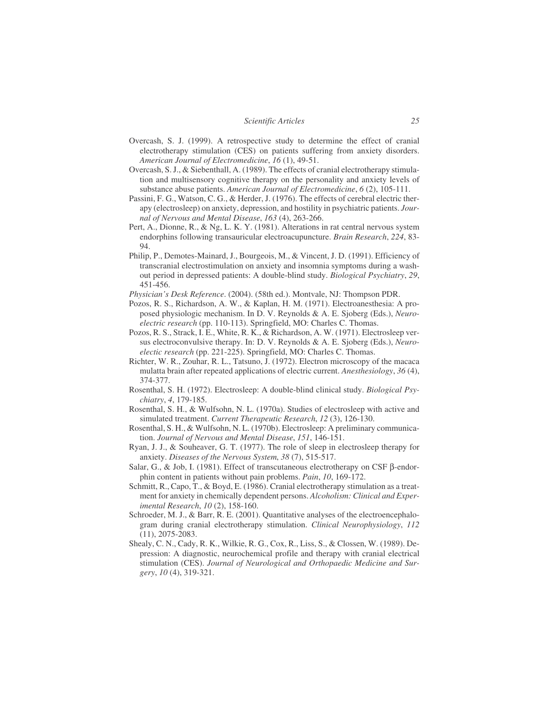- Overcash, S. J. (1999). A retrospective study to determine the effect of cranial electrotherapy stimulation (CES) on patients suffering from anxiety disorders. *American Journal of Electromedicine*, *16* (1), 49-51.
- Overcash, S. J., & Siebenthall, A. (1989). The effects of cranial electrotherapy stimulation and multisensory cognitive therapy on the personality and anxiety levels of substance abuse patients. *American Journal of Electromedicine*, *6* (2), 105-111.
- Passini, F. G., Watson, C. G., & Herder, J. (1976). The effects of cerebral electric therapy (electrosleep) on anxiety, depression, and hostility in psychiatric patients. *Journal of Nervous and Mental Disease*, *163* (4), 263-266.
- Pert, A., Dionne, R., & Ng, L. K. Y. (1981). Alterations in rat central nervous system endorphins following transauricular electroacupuncture. *Brain Research*, *224*, 83- 94.
- Philip, P., Demotes-Mainard, J., Bourgeois, M., & Vincent, J. D. (1991). Efficiency of transcranial electrostimulation on anxiety and insomnia symptoms during a washout period in depressed patients: A double-blind study. *Biological Psychiatry*, *29*, 451-456.
- *Physician's Desk Reference*. (2004). (58th ed.). Montvale, NJ: Thompson PDR.
- Pozos, R. S., Richardson, A. W., & Kaplan, H. M. (1971). Electroanesthesia: A proposed physiologic mechanism. In D. V. Reynolds & A. E. Sjoberg (Eds.), *Neuroelectric research* (pp. 110-113). Springfield, MO: Charles C. Thomas.
- Pozos, R. S., Strack, I. E., White, R. K., & Richardson, A. W. (1971). Electrosleep versus electroconvulsive therapy. In: D. V. Reynolds & A. E. Sjoberg (Eds.), *Neuroelectic research* (pp. 221-225). Springfield, MO: Charles C. Thomas.
- Richter, W. R., Zouhar, R. L., Tatsuno, J. (1972). Electron microscopy of the macaca mulatta brain after repeated applications of electric current. *Anesthesiology*, *36* (4), 374-377.
- Rosenthal, S. H. (1972). Electrosleep: A double-blind clinical study. *Biological Psychiatry*, *4*, 179-185.
- Rosenthal, S. H., & Wulfsohn, N. L. (1970a). Studies of electrosleep with active and simulated treatment. *Current Therapeutic Research*, *12* (3), 126-130.
- Rosenthal, S. H., & Wulfsohn, N. L. (1970b). Electrosleep: A preliminary communication. *Journal of Nervous and Mental Disease*, *151*, 146-151.
- Ryan, J. J., & Souheaver, G. T. (1977). The role of sleep in electrosleep therapy for anxiety. *Diseases of the Nervous System*, *38* (7), 515-517.
- Salar, G., & Job, I. (1981). Effect of transcutaneous electrotherapy on CSF β-endorphin content in patients without pain problems. *Pain*, *10*, 169-172.
- Schmitt, R., Capo, T., & Boyd, E. (1986). Cranial electrotherapy stimulation as a treatment for anxiety in chemically dependent persons. *Alcoholism: Clinical and Experimental Research*, *10* (2), 158-160.
- Schroeder, M. J., & Barr, R. E. (2001). Quantitative analyses of the electroencephalogram during cranial electrotherapy stimulation. *Clinical Neurophysiology*, *112* (11), 2075-2083.
- Shealy, C. N., Cady, R. K., Wilkie, R. G., Cox, R., Liss, S., & Clossen, W. (1989). Depression: A diagnostic, neurochemical profile and therapy with cranial electrical stimulation (CES). *Journal of Neurological and Orthopaedic Medicine and Surgery*, *10* (4), 319-321.